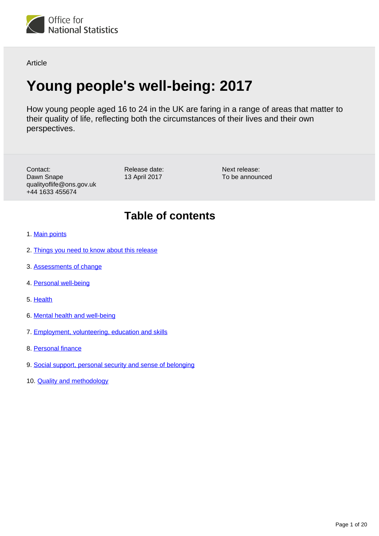

Article

# **Young people's well-being: 2017**

How young people aged 16 to 24 in the UK are faring in a range of areas that matter to their quality of life, reflecting both the circumstances of their lives and their own perspectives.

Contact: Dawn Snape qualityoflife@ons.gov.uk +44 1633 455674

Release date: 13 April 2017

Next release: To be announced

# **Table of contents**

- 1. [Main points](#page-1-0)
- 2. [Things you need to know about this release](#page-1-1)
- 3. [Assessments of change](#page-2-0)
- 4. [Personal well-being](#page-3-0)
- 5. [Health](#page-4-0)
- 6. [Mental health and well-being](#page-6-0)
- 7. [Employment, volunteering, education and skills](#page-9-0)
- 8. [Personal finance](#page-12-0)
- 9. [Social support, personal security and sense of belonging](#page-17-0)
- 10. **[Quality and methodology](#page-19-0)**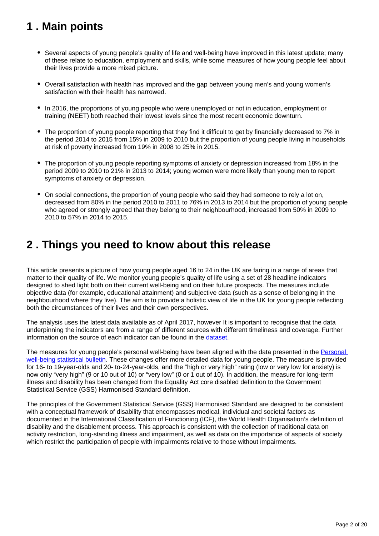# <span id="page-1-0"></span>**1 . Main points**

- Several aspects of young people's quality of life and well-being have improved in this latest update; many of these relate to education, employment and skills, while some measures of how young people feel about their lives provide a more mixed picture.
- Overall satisfaction with health has improved and the gap between young men's and young women's satisfaction with their health has narrowed.
- In 2016, the proportions of young people who were unemployed or not in education, employment or training (NEET) both reached their lowest levels since the most recent economic downturn.
- The proportion of young people reporting that they find it difficult to get by financially decreased to 7% in the period 2014 to 2015 from 15% in 2009 to 2010 but the proportion of young people living in households at risk of poverty increased from 19% in 2008 to 25% in 2015.
- The proportion of young people reporting symptoms of anxiety or depression increased from 18% in the period 2009 to 2010 to 21% in 2013 to 2014; young women were more likely than young men to report symptoms of anxiety or depression.
- On social connections, the proportion of young people who said they had someone to rely a lot on, decreased from 80% in the period 2010 to 2011 to 76% in 2013 to 2014 but the proportion of young people who agreed or strongly agreed that they belong to their neighbourhood, increased from 50% in 2009 to 2010 to 57% in 2014 to 2015.

# <span id="page-1-1"></span>**2 . Things you need to know about this release**

This article presents a picture of how young people aged 16 to 24 in the UK are faring in a range of areas that matter to their quality of life. We monitor young people's quality of life using a set of 28 headline indicators designed to shed light both on their current well-being and on their future prospects. The measures include objective data (for example, educational attainment) and subjective data (such as a sense of belonging in the neighbourhood where they live). The aim is to provide a holistic view of life in the UK for young people reflecting both the circumstances of their lives and their own perspectives.

The analysis uses the latest data available as of April 2017, however It is important to recognise that the data underpinning the indicators are from a range of different sources with different timeliness and coverage. Further information on the source of each indicator can be found in the [dataset.](https://www.ons.gov.uk/peoplepopulationandcommunity/wellbeing/datasets/youngpeopleswellbeingmeasures)

The measures for young people's personal well-being have been aligned with the data presented in the [Personal](https://www.ons.gov.uk/peoplepopulationandcommunity/wellbeing/bulletins/measuringnationalwellbeing/oct2015tosept2016)  [well-being statistical bulletin](https://www.ons.gov.uk/peoplepopulationandcommunity/wellbeing/bulletins/measuringnationalwellbeing/oct2015tosept2016). These changes offer more detailed data for young people. The measure is provided for 16- to 19-year-olds and 20- to-24-year-olds, and the "high or very high" rating (low or very low for anxiety) is now only "very high" (9 or 10 out of 10) or "very low" (0 or 1 out of 10). In addition, the measure for long-term illness and disability has been changed from the Equality Act core disabled definition to the Government Statistical Service (GSS) Harmonised Standard definition.

The principles of the Government Statistical Service (GSS) Harmonised Standard are designed to be consistent with a conceptual framework of disability that encompasses medical, individual and societal factors as documented in the International Classification of Functioning (ICF), the World Health Organisation's definition of disability and the disablement process. This approach is consistent with the collection of traditional data on activity restriction, long-standing illness and impairment, as well as data on the importance of aspects of society which restrict the participation of people with impairments relative to those without impairments.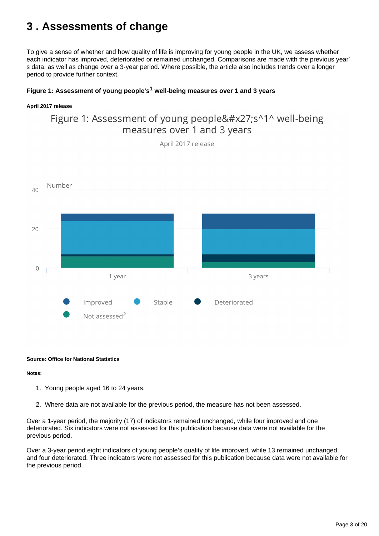# <span id="page-2-0"></span>**3 . Assessments of change**

To give a sense of whether and how quality of life is improving for young people in the UK, we assess whether each indicator has improved, deteriorated or remained unchanged. Comparisons are made with the previous year' s data, as well as change over a 3-year period. Where possible, the article also includes trends over a longer period to provide further context.

# Figure 1: Assessment of young people's<sup>1</sup> well-being measures over 1 and 3 years

### **April 2017 release**

# Figure 1: Assessment of young people's^1^ well-being measures over 1 and 3 years

April 2017 release



### **Source: Office for National Statistics**

### **Notes:**

- 1. Young people aged 16 to 24 years.
- 2. Where data are not available for the previous period, the measure has not been assessed.

Over a 1-year period, the majority (17) of indicators remained unchanged, while four improved and one deteriorated. Six indicators were not assessed for this publication because data were not available for the previous period.

Over a 3-year period eight indicators of young people's quality of life improved, while 13 remained unchanged, and four deteriorated. Three indicators were not assessed for this publication because data were not available for the previous period.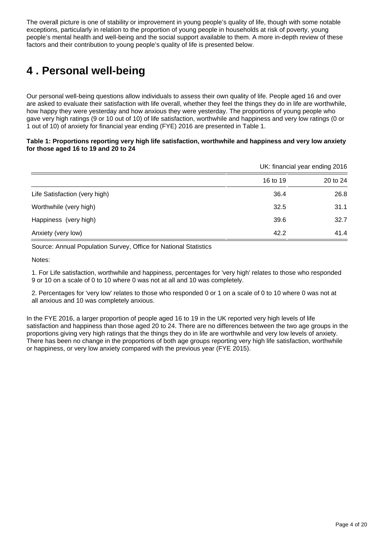The overall picture is one of stability or improvement in young people's quality of life, though with some notable exceptions, particularly in relation to the proportion of young people in households at risk of poverty, young people's mental health and well-being and the social support available to them. A more in-depth review of these factors and their contribution to young people's quality of life is presented below.

# <span id="page-3-0"></span>**4 . Personal well-being**

Our personal well-being questions allow individuals to assess their own quality of life. People aged 16 and over are asked to evaluate their satisfaction with life overall, whether they feel the things they do in life are worthwhile, how happy they were yesterday and how anxious they were yesterday. The proportions of young people who gave very high ratings (9 or 10 out of 10) of life satisfaction, worthwhile and happiness and very low ratings (0 or 1 out of 10) of anxiety for financial year ending (FYE) 2016 are presented in Table 1.

### **Table 1: Proportions reporting very high life satisfaction, worthwhile and happiness and very low anxiety for those aged 16 to 19 and 20 to 24**

|                               | UK: financial year ending 2016 |          |
|-------------------------------|--------------------------------|----------|
|                               | 16 to 19                       | 20 to 24 |
| Life Satisfaction (very high) | 36.4                           | 26.8     |
| Worthwhile (very high)        | 32.5                           | 31.1     |
| Happiness (very high)         | 39.6                           | 32.7     |
| Anxiety (very low)            | 42.2                           | 41.4     |

Source: Annual Population Survey, Office for National Statistics

Notes:

1. For Life satisfaction, worthwhile and happiness, percentages for 'very high' relates to those who responded 9 or 10 on a scale of 0 to 10 where 0 was not at all and 10 was completely.

2. Percentages for 'very low' relates to those who responded 0 or 1 on a scale of 0 to 10 where 0 was not at all anxious and 10 was completely anxious.

In the FYE 2016, a larger proportion of people aged 16 to 19 in the UK reported very high levels of life satisfaction and happiness than those aged 20 to 24. There are no differences between the two age groups in the proportions giving very high ratings that the things they do in life are worthwhile and very low levels of anxiety. There has been no change in the proportions of both age groups reporting very high life satisfaction, worthwhile or happiness, or very low anxiety compared with the previous year (FYE 2015).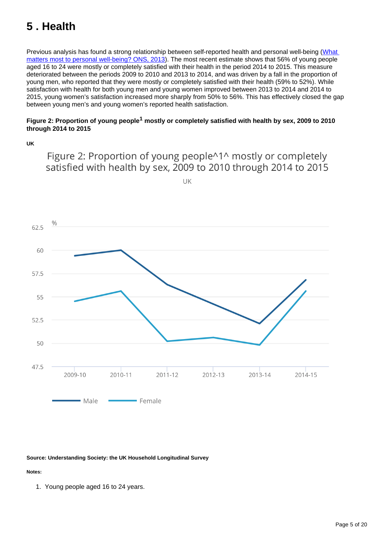# <span id="page-4-0"></span>**5 . Health**

Previous analysis has found a strong relationship between self-reported health and personal well-being (What [matters most to personal well-being? ONS, 2013](http://webarchive.nationalarchives.gov.uk/20160105160709/http:/www.ons.gov.uk/ons/rel/wellbeing/measuring-national-well-being/what-matters-most-to-personal-well-being-in-the-uk-/art-what-matters-most-to-personal-well-being-in-the-uk-.html)). The most recent estimate shows that 56% of young people aged 16 to 24 were mostly or completely satisfied with their health in the period 2014 to 2015. This measure deteriorated between the periods 2009 to 2010 and 2013 to 2014, and was driven by a fall in the proportion of young men, who reported that they were mostly or completely satisfied with their health (59% to 52%). While satisfaction with health for both young men and young women improved between 2013 to 2014 and 2014 to 2015, young women's satisfaction increased more sharply from 50% to 56%. This has effectively closed the gap between young men's and young women's reported health satisfaction.

# Figure 2: Proportion of young people<sup>1</sup> mostly or completely satisfied with health by sex, 2009 to 2010 **through 2014 to 2015**

**UK**

UK  $\frac{0}{0}$  $62.5$ 60 57.5 55 52.5 50 47.5 2009-10 2010-11  $2011 - 12$  $2012 - 13$ 2013-14 2014-15 • Male - Female

Figure 2: Proportion of young people^1^ mostly or completely satisfied with health by sex, 2009 to 2010 through 2014 to 2015

### **Source: Understanding Society: the UK Household Longitudinal Survey**

### **Notes:**

1. Young people aged 16 to 24 years.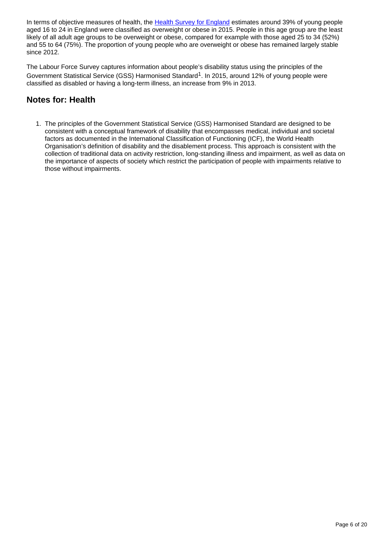In terms of objective measures of health, the [Health Survey for England](http://content.digital.nhs.uk/healthsurveyengland) estimates around 39% of young people aged 16 to 24 in England were classified as overweight or obese in 2015. People in this age group are the least likely of all adult age groups to be overweight or obese, compared for example with those aged 25 to 34 (52%) and 55 to 64 (75%). The proportion of young people who are overweight or obese has remained largely stable since 2012.

The Labour Force Survey captures information about people's disability status using the principles of the Government Statistical Service (GSS) Harmonised Standard<sup>1</sup>. In 2015, around 12% of young people were classified as disabled or having a long-term illness, an increase from 9% in 2013.

# **Notes for: Health**

1. The principles of the Government Statistical Service (GSS) Harmonised Standard are designed to be consistent with a conceptual framework of disability that encompasses medical, individual and societal factors as documented in the International Classification of Functioning (ICF), the World Health Organisation's definition of disability and the disablement process. This approach is consistent with the collection of traditional data on activity restriction, long-standing illness and impairment, as well as data on the importance of aspects of society which restrict the participation of people with impairments relative to those without impairments.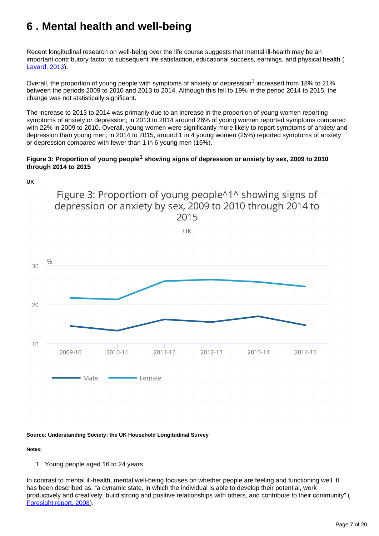# <span id="page-6-0"></span>**6 . Mental health and well-being**

Recent longitudinal research on well-being over the life course suggests that mental ill-health may be an important contributory factor to subsequent life satisfaction, educational success, earnings, and physical health ( [Layard, 2013\)](http://cep.lse.ac.uk/pubs/download/dp1213.pdf).

Overall, the proportion of young people with symptoms of anxiety or depression<sup>1</sup> increased from 18% to 21% between the periods 2009 to 2010 and 2013 to 2014. Although this fell to 19% in the period 2014 to 2015, the change was not statistically significant.

The increase to 2013 to 2014 was primarily due to an increase in the proportion of young women reporting symptoms of anxiety or depression; in 2013 to 2014 around 26% of young women reported symptoms compared with 22% in 2009 to 2010. Overall, young women were significantly more likely to report symptoms of anxiety and depression than young men; in 2014 to 2015, around 1 in 4 young women (25%) reported symptoms of anxiety or depression compared with fewer than 1 in 6 young men (15%).

# **Figure 3: Proportion of young people<sup>1</sup> showing signs of depression or anxiety by sex, 2009 to 2010 through 2014 to 2015**



### **Source: Understanding Society: the UK Household Longitudinal Survey**

### **Notes:**

1. Young people aged 16 to 24 years.

In contrast to mental ill-health, mental well-being focuses on whether people are feeling and functioning well. It has been described as, "a dynamic state, in which the individual is able to develop their potential, work productively and creatively, build strong and positive relationships with others, and contribute to their community" ( [Foresight report, 2008](https://www.gov.uk/government/uploads/system/uploads/attachment_data/file/292450/mental-capital-wellbeing-report.pdf)).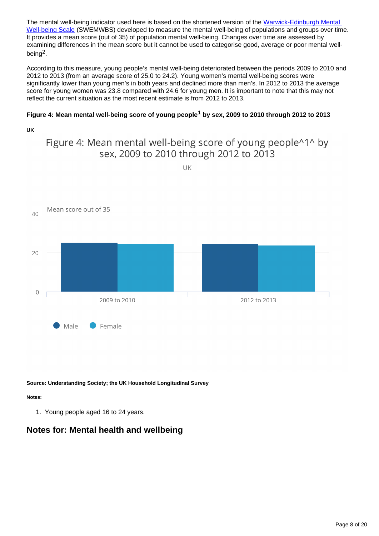The mental well-being indicator used here is based on the shortened version of the Warwick-Edinburgh Mental [Well-being Scale](http://www2.warwick.ac.uk/fac/med/research/platform/wemwbs/) (SWEMWBS) developed to measure the mental well-being of populations and groups over time. It provides a mean score (out of 35) of population mental well-being. Changes over time are assessed by examining differences in the mean score but it cannot be used to categorise good, average or poor mental wellbeing<sup>2</sup>.

According to this measure, young people's mental well-being deteriorated between the periods 2009 to 2010 and 2012 to 2013 (from an average score of 25.0 to 24.2). Young women's mental well-being scores were significantly lower than young men's in both years and declined more than men's. In 2012 to 2013 the average score for young women was 23.8 compared with 24.6 for young men. It is important to note that this may not reflect the current situation as the most recent estimate is from 2012 to 2013.

# Figure 4: Mean mental well-being score of young people<sup>1</sup> by sex, 2009 to 2010 through 2012 to 2013

# **UK**

# Figure 4: Mean mental well-being score of young people<sup>414</sup> by sex, 2009 to 2010 through 2012 to 2013



**Source: Understanding Society; the UK Household Longitudinal Survey**

### **Notes:**

1. Young people aged 16 to 24 years.

# **Notes for: Mental health and wellbeing**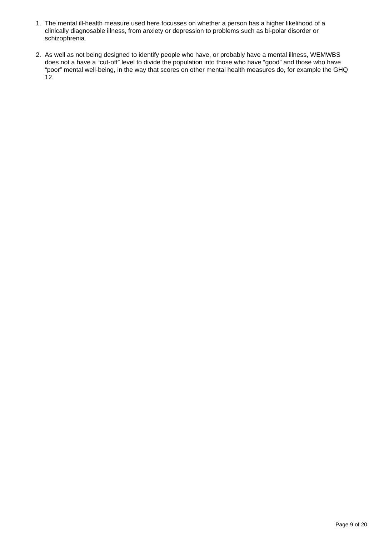- 1. The mental ill-health measure used here focusses on whether a person has a higher likelihood of a clinically diagnosable illness, from anxiety or depression to problems such as bi-polar disorder or schizophrenia.
- 2. As well as not being designed to identify people who have, or probably have a mental illness, WEMWBS does not a have a "cut-off" level to divide the population into those who have "good" and those who have "poor" mental well-being, in the way that scores on other mental health measures do, for example the GHQ 12.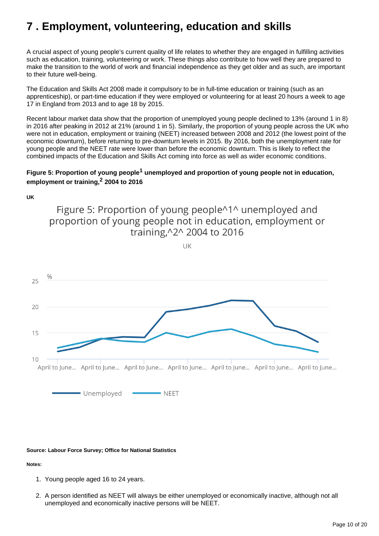# <span id="page-9-0"></span>**7 . Employment, volunteering, education and skills**

A crucial aspect of young people's current quality of life relates to whether they are engaged in fulfilling activities such as education, training, volunteering or work. These things also contribute to how well they are prepared to make the transition to the world of work and financial independence as they get older and as such, are important to their future well-being.

The Education and Skills Act 2008 made it compulsory to be in full-time education or training (such as an apprenticeship), or part-time education if they were employed or volunteering for at least 20 hours a week to age 17 in England from 2013 and to age 18 by 2015.

Recent labour market data show that the proportion of unemployed young people declined to 13% (around 1 in 8) in 2016 after peaking in 2012 at 21% (around 1 in 5). Similarly, the proportion of young people across the UK who were not in education, employment or training (NEET) increased between 2008 and 2012 (the lowest point of the economic downturn), before returning to pre-downturn levels in 2015. By 2016, both the unemployment rate for young people and the NEET rate were lower than before the economic downturn. This is likely to reflect the combined impacts of the Education and Skills Act coming into force as well as wider economic conditions.

# Figure 5: Proportion of young people<sup>1</sup> unemployed and proportion of young people not in education, **employment or training, 2004 to 2016 <sup>2</sup>**

**UK** Figure 5: Proportion of young people^1^ unemployed and proportion of young people not in education, employment or training, ^2^ 2004 to 2016 UK  $\frac{0}{0}$ 25 20 15  $10$ April to June... April to June... April to June... April to June... April to June... April to June... April to June... Unemployed - NEET

### **Source: Labour Force Survey; Office for National Statistics**

### **Notes:**

- 1. Young people aged 16 to 24 years.
- 2. A person identified as NEET will always be either unemployed or economically inactive, although not all unemployed and economically inactive persons will be NEET.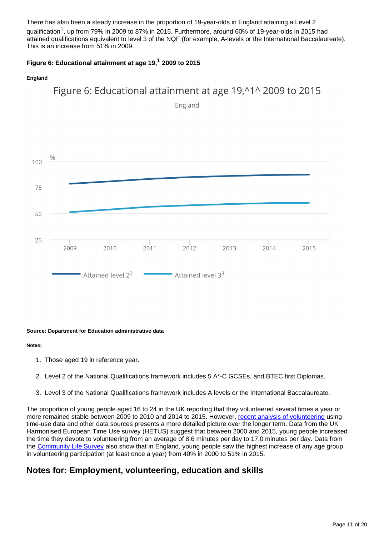There has also been a steady increase in the proportion of 19-year-olds in England attaining a Level 2 qualification<sup>1</sup>, up from 79% in 2009 to 87% in 2015. Furthermore, around 60% of 19-year-olds in 2015 had attained qualifications equivalent to level 3 of the NQF (for example, A-levels or the International Baccalaureate). This is an increase from 51% in 2009.

# Figure 6: Educational attainment at age 19,<sup>1</sup> 2009 to 2015

### **England**



England



### **Source: Department for Education administrative data**

### **Notes:**

- 1. Those aged 19 in reference year.
- 2. Level 2 of the National Qualifications framework includes 5 A\*-C GCSEs, and BTEC first Diplomas.
- 3. Level 3 of the National Qualifications framework includes A levels or the International Baccalaureate.

The proportion of young people aged 16 to 24 in the UK reporting that they volunteered several times a year or more remained stable between 2009 to 2010 and 2014 to 2015. However, [recent analysis of volunteering](https://www.ons.gov.uk/economy/nationalaccounts/satelliteaccounts/articles/changesinthevalueanddivisionofunpaidcareworkintheuk/2015) using time-use data and other data sources presents a more detailed picture over the longer term. Data from the UK Harmonised European Time Use survey (HETUS) suggest that between 2000 and 2015, young people increased the time they devote to volunteering from an average of 8.6 minutes per day to 17.0 minutes per day. Data from the [Community Life Survey](https://www.gov.uk/government/collections/community-life-survey) also show that in England, young people saw the highest increase of any age group in volunteering participation (at least once a year) from 40% in 2000 to 51% in 2015.

# **Notes for: Employment, volunteering, education and skills**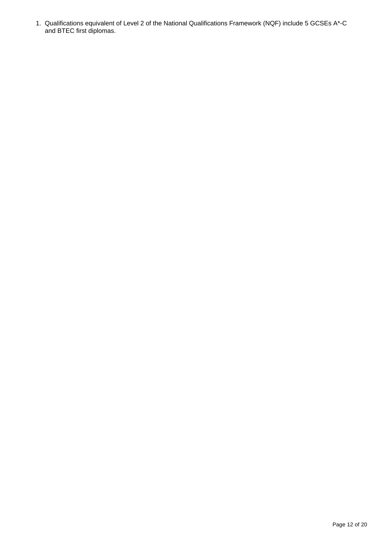1. Qualifications equivalent of Level 2 of the National Qualifications Framework (NQF) include 5 GCSEs A\*-C and BTEC first diplomas.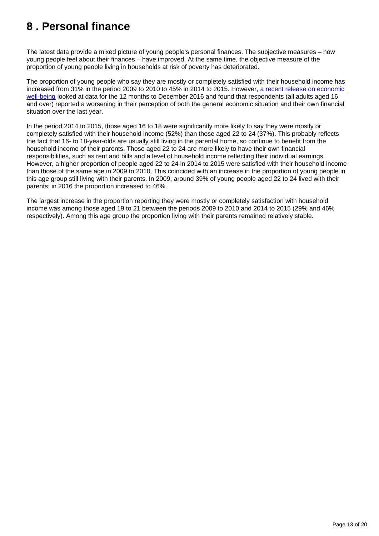# <span id="page-12-0"></span>**8 . Personal finance**

The latest data provide a mixed picture of young people's personal finances. The subjective measures – how young people feel about their finances – have improved. At the same time, the objective measure of the proportion of young people living in households at risk of poverty has deteriorated.

The proportion of young people who say they are mostly or completely satisfied with their household income has increased from 31% in the period 2009 to 2010 to 45% in 2014 to 2015. However, [a recent release on economic](https://www.ons.gov.uk/peoplepopulationandcommunity/personalandhouseholdfinances/incomeandwealth/bulletins/economicwellbeing/quarter4octtodec2016)  [well-being](https://www.ons.gov.uk/peoplepopulationandcommunity/personalandhouseholdfinances/incomeandwealth/bulletins/economicwellbeing/quarter4octtodec2016) looked at data for the 12 months to December 2016 and found that respondents (all adults aged 16 and over) reported a worsening in their perception of both the general economic situation and their own financial situation over the last year.

In the period 2014 to 2015, those aged 16 to 18 were significantly more likely to say they were mostly or completely satisfied with their household income (52%) than those aged 22 to 24 (37%). This probably reflects the fact that 16- to 18-year-olds are usually still living in the parental home, so continue to benefit from the household income of their parents. Those aged 22 to 24 are more likely to have their own financial responsibilities, such as rent and bills and a level of household income reflecting their individual earnings. However, a higher proportion of people aged 22 to 24 in 2014 to 2015 were satisfied with their household income than those of the same age in 2009 to 2010. This coincided with an increase in the proportion of young people in this age group still living with their parents. In 2009, around 39% of young people aged 22 to 24 lived with their parents; in 2016 the proportion increased to 46%.

The largest increase in the proportion reporting they were mostly or completely satisfaction with household income was among those aged 19 to 21 between the periods 2009 to 2010 and 2014 to 2015 (29% and 46% respectively). Among this age group the proportion living with their parents remained relatively stable.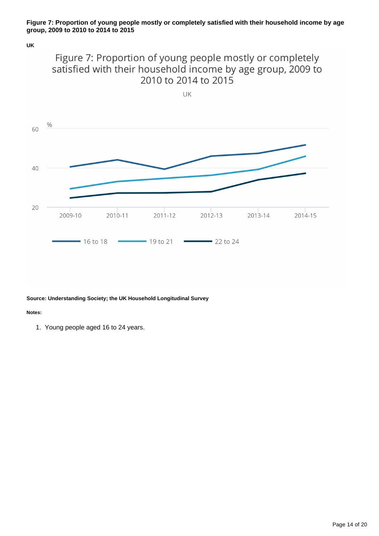### **Figure 7: Proportion of young people mostly or completely satisfied with their household income by age group, 2009 to 2010 to 2014 to 2015**

**UK**





#### **Source: Understanding Society; the UK Household Longitudinal Survey**

#### **Notes:**

1. Young people aged 16 to 24 years.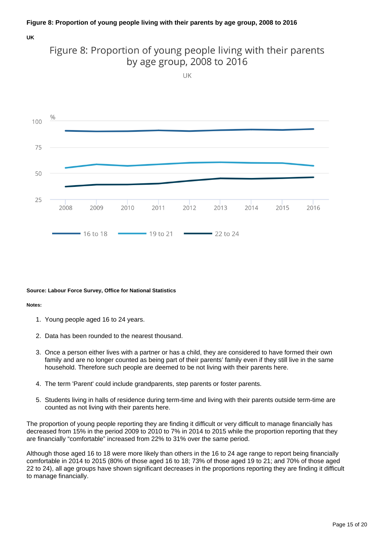# **Figure 8: Proportion of young people living with their parents by age group, 2008 to 2016**

#### **UK**



# Figure 8: Proportion of young people living with their parents

#### **Source: Labour Force Survey, Office for National Statistics**

#### **Notes:**

- 1. Young people aged 16 to 24 years.
- 2. Data has been rounded to the nearest thousand.
- 3. Once a person either lives with a partner or has a child, they are considered to have formed their own family and are no longer counted as being part of their parents' family even if they still live in the same household. Therefore such people are deemed to be not living with their parents here.
- 4. The term 'Parent' could include grandparents, step parents or foster parents.
- 5. Students living in halls of residence during term-time and living with their parents outside term-time are counted as not living with their parents here.

The proportion of young people reporting they are finding it difficult or very difficult to manage financially has decreased from 15% in the period 2009 to 2010 to 7% in 2014 to 2015 while the proportion reporting that they are financially "comfortable" increased from 22% to 31% over the same period.

Although those aged 16 to 18 were more likely than others in the 16 to 24 age range to report being financially comfortable in 2014 to 2015 (80% of those aged 16 to 18; 73% of those aged 19 to 21; and 70% of those aged 22 to 24), all age groups have shown significant decreases in the proportions reporting they are finding it difficult to manage financially.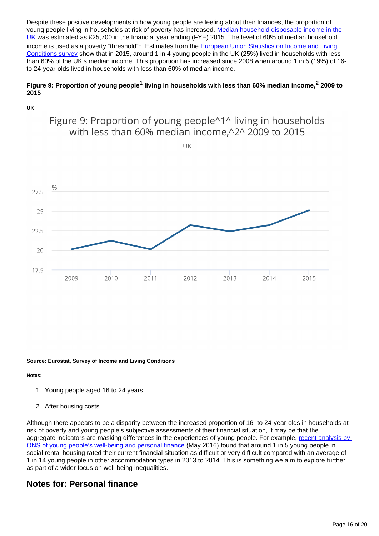Despite these positive developments in how young people are feeling about their finances, the proportion of young people living in households at risk of poverty has increased. Median household disposable income in the [UK](https://www.ons.gov.uk/peoplepopulationandcommunity/personalandhouseholdfinances/incomeandwealth/bulletins/householddisposableincomeandinequality/financialyearending2015) was estimated as £25,700 in the financial year ending (FYE) 2015. The level of 60% of median household income is used as a poverty "threshold"<sup>1</sup>. Estimates from the European Union Statistics on Income and Living [Conditions survey](http://ec.europa.eu/eurostat/web/microdata/european-union-statistics-on-income-and-living-conditions) show that in 2015, around 1 in 4 young people in the UK (25%) lived in households with less than 60% of the UK's median income. This proportion has increased since 2008 when around 1 in 5 (19%) of 16 to 24-year-olds lived in households with less than 60% of median income.

# Figure 9: Proportion of young people<sup>1</sup> living in households with less than 60% median income,<sup>2</sup> 2009 to **2015**

### **UK**

# Figure 9: Proportion of young people^1^ living in households with less than 60% median income, 2^ 2009 to 2015

UK



### **Source: Eurostat, Survey of Income and Living Conditions**

# **Notes:**

- 1. Young people aged 16 to 24 years.
- 2. After housing costs.

Although there appears to be a disparity between the increased proportion of 16- to 24-year-olds in households at risk of poverty and young people's subjective assessments of their financial situation, it may be that the aggregate indicators are masking differences in the experiences of young people. For example, [recent analysis by](https://www.ons.gov.uk/peoplepopulationandcommunity/wellbeing/articles/youngpeopleswellbeingandpersonalfinance/uk2013to2014)  [ONS of young people's well-being and personal finance](https://www.ons.gov.uk/peoplepopulationandcommunity/wellbeing/articles/youngpeopleswellbeingandpersonalfinance/uk2013to2014) (May 2016) found that around 1 in 5 young people in social rental housing rated their current financial situation as difficult or very difficult compared with an average of 1 in 14 young people in other accommodation types in 2013 to 2014. This is something we aim to explore further as part of a wider focus on well-being inequalities.

# **Notes for: Personal finance**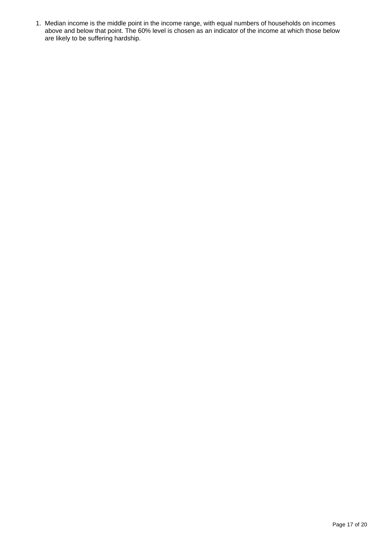1. Median income is the middle point in the income range, with equal numbers of households on incomes above and below that point. The 60% level is chosen as an indicator of the income at which those below are likely to be suffering hardship.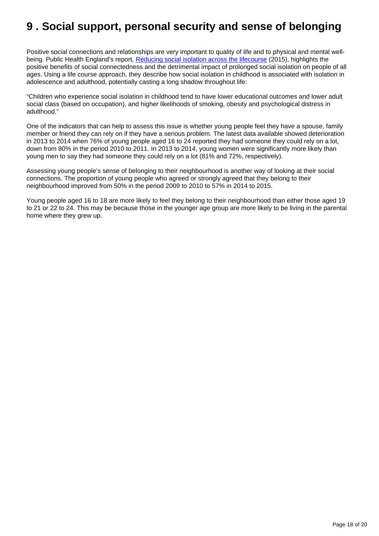# <span id="page-17-0"></span>**9 . Social support, personal security and sense of belonging**

Positive social connections and relationships are very important to quality of life and to physical and mental well-being. Public Health England's report, [Reducing social isolation across the lifecourse](https://www.gov.uk/government/publications/local-action-on-health-inequalities-reducing-social-isolation) (2015), highlights the positive benefits of social connectedness and the detrimental impact of prolonged social isolation on people of all ages. Using a life course approach, they describe how social isolation in childhood is associated with isolation in adolescence and adulthood, potentially casting a long shadow throughout life:

"Children who experience social isolation in childhood tend to have lower educational outcomes and lower adult social class (based on occupation), and higher likelihoods of smoking, obesity and psychological distress in adulthood."

One of the indicators that can help to assess this issue is whether young people feel they have a spouse, family member or friend they can rely on if they have a serious problem. The latest data available showed deterioration in 2013 to 2014 when 76% of young people aged 16 to 24 reported they had someone they could rely on a lot, down from 80% in the period 2010 to 2011. In 2013 to 2014, young women were significantly more likely than young men to say they had someone they could rely on a lot (81% and 72%, respectively).

Assessing young people's sense of belonging to their neighbourhood is another way of looking at their social connections. The proportion of young people who agreed or strongly agreed that they belong to their neighbourhood improved from 50% in the period 2009 to 2010 to 57% in 2014 to 2015.

Young people aged 16 to 18 are more likely to feel they belong to their neighbourhood than either those aged 19 to 21 or 22 to 24. This may be because those in the younger age group are more likely to be living in the parental home where they grew up.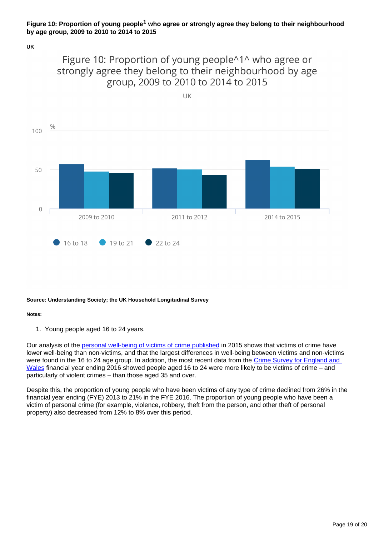# **Figure 10: Proportion of young people<sup>1</sup> who agree or strongly agree they belong to their neighbourhood by age group, 2009 to 2010 to 2014 to 2015**

**UK**

# Figure 10: Proportion of young people^1^ who agree or strongly agree they belong to their neighbourhood by age group, 2009 to 2010 to 2014 to 2015



### **Source: Understanding Society; the UK Household Longitudinal Survey**

### **Notes:**

1. Young people aged 16 to 24 years.

Our analysis of the [personal well-being of victims of crime published](https://www.ons.gov.uk/peoplepopulationandcommunity/crimeandjustice/compendium/crimestatisticsfocusonpublicperceptionsofcrimeandthepoliceandthepersonalwellbeingofvictims/2015-03-26/chapter3personalwellbeingandcrime) in 2015 shows that victims of crime have lower well-being than non-victims, and that the largest differences in well-being between victims and non-victims were found in the 16 to 24 age group. In addition, the most recent data from the Crime Survey for England and [Wales](https://www.ons.gov.uk/peoplepopulationandcommunity/crimeandjustice/bulletins/crimeinenglandandwales/yearendingsept2016) financial year ending 2016 showed people aged 16 to 24 were more likely to be victims of crime – and particularly of violent crimes – than those aged 35 and over.

Despite this, the proportion of young people who have been victims of any type of crime declined from 26% in the financial year ending (FYE) 2013 to 21% in the FYE 2016. The proportion of young people who have been a victim of personal crime (for example, violence, robbery, theft from the person, and other theft of personal property) also decreased from 12% to 8% over this period.